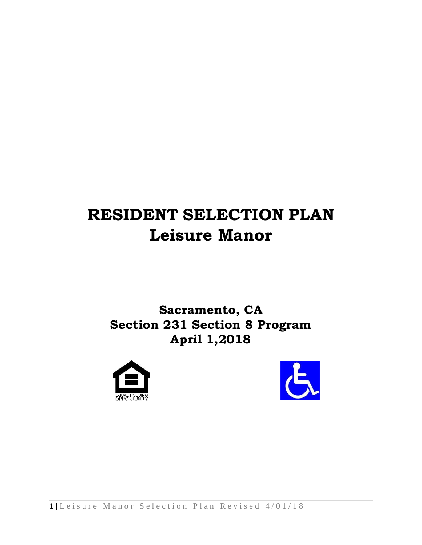# **RESIDENT SELECTION PLAN Leisure Manor**

# **Sacramento, CA Section 231 Section 8 Program April 1,2018**



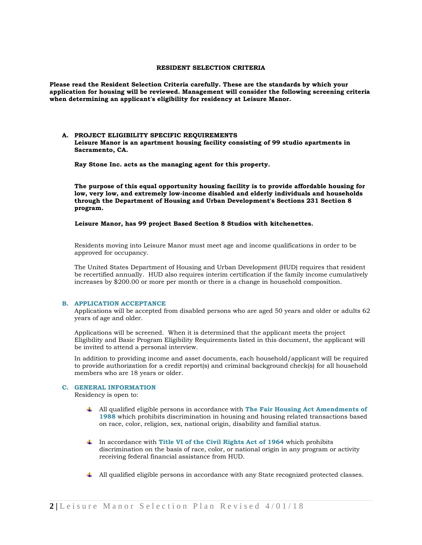# **RESIDENT SELECTION CRITERIA**

**Please read the Resident Selection Criteria carefully. These are the standards by which your application for housing will be reviewed. Management will consider the following screening criteria when determining an applicant's eligibility for residency at Leisure Manor.**

# **A. PROJECT ELIGIBILITY SPECIFIC REQUIREMENTS Leisure Manor is an apartment housing facility consisting of 99 studio apartments in Sacramento, CA.**

**Ray Stone Inc. acts as the managing agent for this property.** 

**The purpose of this equal opportunity housing facility is to provide affordable housing for low, very low, and extremely low-income disabled and elderly individuals and households through the Department of Housing and Urban Development's Sections 231 Section 8 program.** 

 **Leisure Manor, has 99 project Based Section 8 Studios with kitchenettes.**

Residents moving into Leisure Manor must meet age and income qualifications in order to be approved for occupancy.

The United States Department of Housing and Urban Development (HUD) requires that resident be recertified annually. HUD also requires interim certification if the family income cumulatively increases by \$200.00 or more per month or there is a change in household composition.

#### **B. APPLICATION ACCEPTANCE**

Applications will be accepted from disabled persons who are aged 50 years and older or adults 62 years of age and older.

Applications will be screened. When it is determined that the applicant meets the project Eligibility and Basic Program Eligibility Requirements listed in this document, the applicant will be invited to attend a personal interview.

In addition to providing income and asset documents, each household/applicant will be required to provide authorization for a credit report(s) and criminal background check(s) for all household members who are 18 years or older.

# **C. GENERAL INFORMATION**

Residency is open to:

- All qualified eligible persons in accordance with **The Fair Housing Act Amendments of 1988** which prohibits discrimination in housing and housing related transactions based on race, color, religion, sex, national origin, disability and familial status.
- In accordance with **Title VI of the Civil Rights Act of 1964** which prohibits discrimination on the basis of race, color, or national origin in any program or activity receiving federal financial assistance from HUD.
- All qualified eligible persons in accordance with any State recognized protected classes.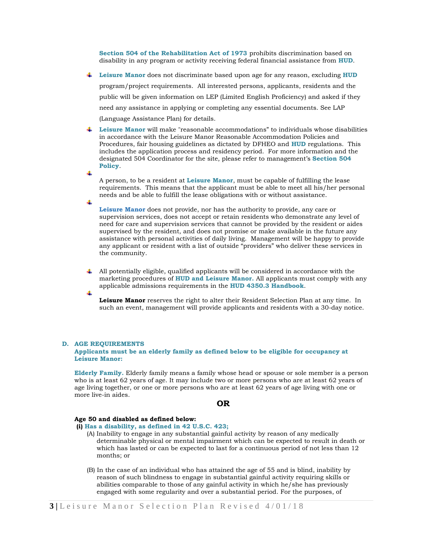**Section 504 of the Rehabilitation Act of 1973** prohibits discrimination based on disability in any program or activity receiving federal financial assistance from **HUD**.

- **Leisure Manor** does not discriminate based upon age for any reason, excluding **HUD** program/project requirements. All interested persons, applicants, residents and the public will be given information on LEP (Limited English Proficiency) and asked if they need any assistance in applying or completing any essential documents. See LAP (Language Assistance Plan) for details.
- **Leisure Manor** will make "reasonable accommodations" to individuals whose disabilities in accordance with the Leisure Manor Reasonable Accommodation Policies and Procedures, fair housing guidelines as dictated by DFHEO and **HUD** regulations. This includes the application process and residency period. For more information and the designated 504 Coordinator for the site, please refer to management's **Section 504 Policy**.

A person, to be a resident at **Leisure Manor**, must be capable of fulfilling the lease requirements. This means that the applicant must be able to meet all his/her personal needs and be able to fulfill the lease obligations with or without assistance.

**Leisure Manor** does not provide, nor has the authority to provide, any care or supervision services, does not accept or retain residents who demonstrate any level of need for care and supervision services that cannot be provided by the resident or aides supervised by the resident, and does not promise or make available in the future any assistance with personal activities of daily living. Management will be happy to provide any applicant or resident with a list of outside "providers" who deliver these services in the community.

All potentially eligible, qualified applicants will be considered in accordance with the marketing procedures of **HUD and Leisure Manor.** All applicants must comply with any applicable admissions requirements in the **HUD 4350.3 Handbook**.

**Leisure Manor** reserves the right to alter their Resident Selection Plan at any time. In such an event, management will provide applicants and residents with a 30-day notice.

#### **D. AGE REQUIREMENTS**

#### **Applicants must be an elderly family as defined below to be eligible for occupancy at Leisure Manor:**

**Elderly Family.** Elderly family means a family whose head or spouse or sole member is a person who is at least 62 years of age. It may include two or more persons who are at least 62 years of age living together, or one or more persons who are at least 62 years of age living with one or more live-in aides.

#### **OR**

#### **Age 50 and disabled as defined below:**

**(i) Has a disability, as defined in 42 U.S.C. 423;**

- (A) Inability to engage in any substantial gainful activity by reason of any medically determinable physical or mental impairment which can be expected to result in death or which has lasted or can be expected to last for a continuous period of not less than 12 months; or
- (B) In the case of an individual who has attained the age of 55 and is blind, inability by reason of such blindness to engage in substantial gainful activity requiring skills or abilities comparable to those of any gainful activity in which he/she has previously engaged with some regularity and over a substantial period. For the purposes, of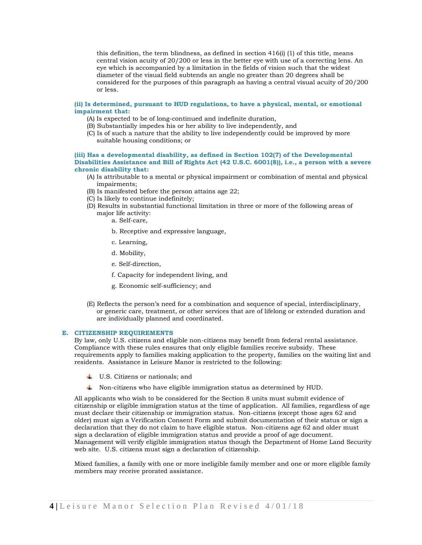this definition, the term blindness, as defined in section 416(i) (1) of this title, means central vision acuity of 20/200 or less in the better eye with use of a correcting lens. An eye which is accompanied by a limitation in the fields of vision such that the widest diameter of the visual field subtends an angle no greater than 20 degrees shall be considered for the purposes of this paragraph as having a central visual acuity of 20/200 or less.

#### **(ii) Is determined, pursuant to HUD regulations, to have a physical, mental, or emotional impairment that:**

- (A) Is expected to be of long-continued and indefinite duration,
- (B) Substantially impedes his or her ability to live independently, and
- (C) Is of such a nature that the ability to live independently could be improved by more suitable housing conditions; or

#### **(iii) Has a developmental disability, as defined in Section 102(7) of the Developmental Disabilities Assistance and Bill of Rights Act (42 U.S.C. 6001(8)), i.e., a person with a severe chronic disability that:**

- (A) Is attributable to a mental or physical impairment or combination of mental and physical impairments;
- (B) Is manifested before the person attains age 22;
- (C) Is likely to continue indefinitely;
- (D) Results in substantial functional limitation in three or more of the following areas of major life activity:
	- a. Self-care,
	- b. Receptive and expressive language,
	- c. Learning,
	- d. Mobility,
	- e. Self-direction,
	- f. Capacity for independent living, and
	- g. Economic self-sufficiency; and
- (E) Reflects the person's need for a combination and sequence of special, interdisciplinary, or generic care, treatment, or other services that are of lifelong or extended duration and are individually planned and coordinated.

#### **E. CITIZENSHIP REQUIREMENTS**

By law, only U.S. citizens and eligible non-citizens may benefit from federal rental assistance. Compliance with these rules ensures that only eligible families receive subsidy. These requirements apply to families making application to the property, families on the waiting list and residents. Assistance in Leisure Manor is restricted to the following:

- U.S. Citizens or nationals; and
- $\ddot{\bullet}$  Non-citizens who have eligible immigration status as determined by HUD.

All applicants who wish to be considered for the Section 8 units must submit evidence of citizenship or eligible immigration status at the time of application. All families, regardless of age must declare their citizenship or immigration status. Non-citizens (except those ages 62 and older) must sign a Verification Consent Form and submit documentation of their status or sign a declaration that they do not claim to have eligible status. Non-citizens age 62 and older must sign a declaration of eligible immigration status and provide a proof of age document. Management will verify eligible immigration status though the Department of Home Land Security web site. U.S. citizens must sign a declaration of citizenship.

Mixed families, a family with one or more ineligible family member and one or more eligible family members may receive prorated assistance.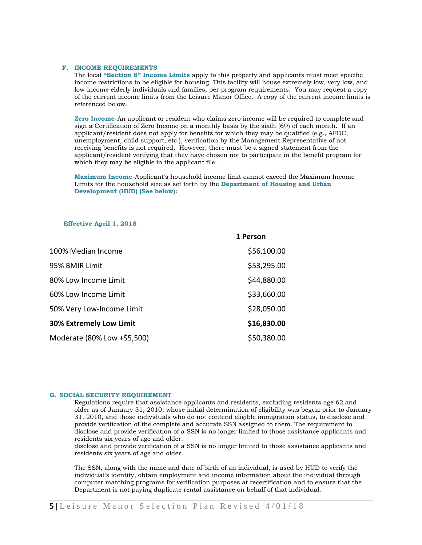# **F. INCOME REQUIREMENTS**

The local **"Section 8" Income Limits** apply to this property and applicants must meet specific income restrictions to be eligible for housing. This facility will house extremely low, very low, and low-income elderly individuals and families, per program requirements. You may request a copy of the current income limits from the Leisure Manor Office. A copy of the current income limits is referenced below.

**Zero Income**-An applicant or resident who claims zero income will be required to complete and sign a Certification of Zero Income on a monthly basis by the sixth  $(6<sup>th</sup>)$  of each month. If an applicant/resident does not apply for benefits for which they may be qualified (e.g., AFDC, unemployment, child support, etc.), verification by the Management Representative of not receiving benefits is not required. However, there must be a signed statement from the applicant/resident verifying that they have chosen not to participate in the benefit program for which they may be eligible in the applicant file.

**Maximum Income**-Applicant's household income limit cannot exceed the Maximum Income Limits for the household size as set forth by the **Department of Housing and Urban Development (HUD) (See below)***:*

#### **Effective April 1, 2018**

|                                | 1 Person    |  |
|--------------------------------|-------------|--|
| 100% Median Income             | \$56,100.00 |  |
| 95% BMIR Limit                 | \$53,295.00 |  |
| 80% Low Income Limit           | \$44,880.00 |  |
| 60% Low Income Limit           | \$33,660.00 |  |
| 50% Very Low-Income Limit      | \$28,050.00 |  |
| <b>30% Extremely Low Limit</b> | \$16,830.00 |  |
| Moderate (80% Low +\$5,500)    | \$50,380.00 |  |

# **G. SOCIAL SECURITY REQUIREMENT**

Regulations require that assistance applicants and residents, excluding residents age 62 and older as of January 31, 2010, whose initial determination of eligibility was begun prior to January 31, 2010, and those individuals who do not contend eligible immigration status, to disclose and provide verification of the complete and accurate SSN assigned to them. The requirement to disclose and provide verification of a SSN is no longer limited to those assistance applicants and residents six years of age and older.

disclose and provide verification of a SSN is no longer limited to those assistance applicants and residents six years of age and older.

The SSN, along with the name and date of birth of an individual, is used by HUD to verify the individual's identity, obtain employment and income information about the individual through computer matching programs for verification purposes at recertification and to ensure that the Department is not paying duplicate rental assistance on behalf of that individual.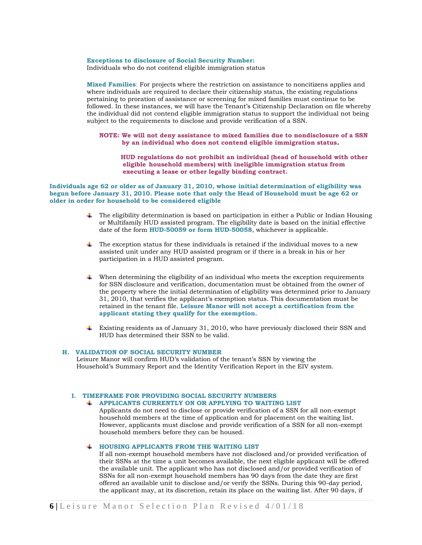**Exceptions to disclosure of Social Security Number:**

Individuals who do not contend eligible immigration status

**Mixed Families**: For projects where the restriction on assistance to noncitizens applies and where individuals are required to declare their citizenship status, the existing regulations pertaining to proration of assistance or screening for mixed families must continue to be followed. In these instances, we will have the Tenant's Citizenship Declaration on file whereby the individual did not contend eligible immigration status to support the individual not being subject to the requirements to disclose and provide verification of a SSN.

**NOTE: We will not deny assistance to mixed families due to nondisclosure of a SSN by an individual who does not contend eligible immigration status.** 

 **HUD regulations do not prohibit an individual (head of household with other eligible household members) with ineligible immigration status from executing a lease or other legally binding contract.**

**Individuals age 62 or older as of January 31, 2010, whose initial determination of eligibility was begun before January 31, 2010. Please note that only the Head of Household must be age 62 or older in order for household to be considered eligible**

- The eligibility determination is based on participation in either a Public or Indian Housing or Multifamily HUD assisted program. The eligibility date is based on the initial effective date of the form **HUD-50059 or form HUD-50058**, whichever is applicable.
- ₩., The exception status for these individuals is retained if the individual moves to a new assisted unit under any HUD assisted program or if there is a break in his or her participation in a HUD assisted program.
- $\ddot{\phantom{a}}$  When determining the eligibility of an individual who meets the exception requirements for SSN disclosure and verification, documentation must be obtained from the owner of the property where the initial determination of eligibility was determined prior to January 31, 2010, that verifies the applicant's exemption status. This documentation must be retained in the tenant file. **Leisure Manor will not accept a certification from the applicant stating they qualify for the exemption.**
- Existing residents as of January 31, 2010, who have previously disclosed their SSN and HUD has determined their SSN to be valid.

# **H. VALIDATION OF SOCIAL SECURITY NUMBER**

Leisure Manor will confirm HUD's validation of the tenant's SSN by viewing the Household's Summary Report and the Identity Verification Report in the EIV system.

#### **I. TIMEFRAME FOR PROVIDING SOCIAL SECURITY NUMBERS**

# **APPLICANTS CURRENTLY ON OR APPLYING TO WAITING LIST**

Applicants do not need to disclose or provide verification of a SSN for all non-exempt household members at the time of application and for placement on the waiting list. However, applicants must disclose and provide verification of a SSN for all non-exempt household members before they can be housed.

# **HOUSING APPLICANTS FROM THE WAITING LIST**

If all non-exempt household members have not disclosed and/or provided verification of their SSNs at the time a unit becomes available, the next eligible applicant will be offered the available unit. The applicant who has not disclosed and/or provided verification of SSNs for all non-exempt household members has 90 days from the date they are first offered an available unit to disclose and/or verify the SSNs. During this 90-day period, the applicant may, at its discretion, retain its place on the waiting list. After 90 days, if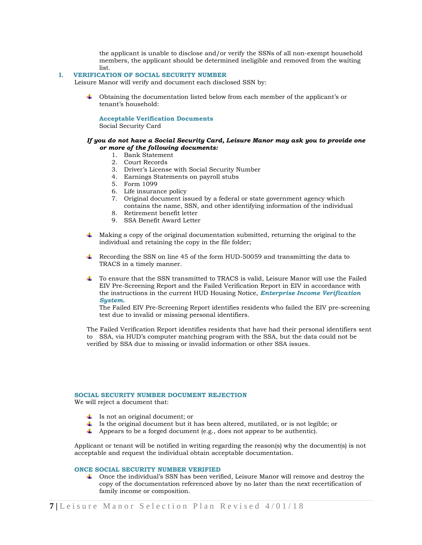the applicant is unable to disclose and/or verify the SSNs of all non-exempt household members, the applicant should be determined ineligible and removed from the waiting list.

# **I. VERIFICATION OF SOCIAL SECURITY NUMBER**

Leisure Manor will verify and document each disclosed SSN by:

Obtaining the documentation listed below from each member of the applicant's or tenant's household:

#### **Acceptable Verification Documents**

Social Security Card

# *If you do not have a Social Security Card, Leisure Manor may ask you to provide one or more of the following documents:*

- 1. Bank Statement
- 2. Court Records
- 3. Driver's License with Social Security Number
- 4. Earnings Statements on payroll stubs
- 5. Form 1099
- 6. Life insurance policy
- 7. Original document issued by a federal or state government agency which contains the name, SSN, and other identifying information of the individual
- 8. Retirement benefit letter
- 9. SSA Benefit Award Letter
- Making a copy of the original documentation submitted, returning the original to the individual and retaining the copy in the file folder;
- Recording the SSN on line 45 of the form HUD-50059 and transmitting the data to TRACS in a timely manner.
- $\ddot{\phantom{1}}$  To ensure that the SSN transmitted to TRACS is valid, Leisure Manor will use the Failed EIV Pre-Screening Report and the Failed Verification Report in EIV in accordance with the instructions in the current HUD Housing Notice, *Enterprise Income Verification System***.**

The Failed EIV Pre-Screening Report identifies residents who failed the EIV pre-screening test due to invalid or missing personal identifiers.

The Failed Verification Report identifies residents that have had their personal identifiers sent to SSA, via HUD's computer matching program with the SSA, but the data could not be verified by SSA due to missing or invalid information or other SSA issues.

# **SOCIAL SECURITY NUMBER DOCUMENT REJECTION**

We will reject a document that:

- $\overline{\phantom{a}}$  Is not an original document; or
- Is the original document but it has been altered, mutilated, or is not legible; or
- $\overline{\mathbf{4}}$  Appears to be a forged document (e.g., does not appear to be authentic).

Applicant or tenant will be notified in writing regarding the reason(s) why the document(s) is not acceptable and request the individual obtain acceptable documentation.

# **ONCE SOCIAL SECURITY NUMBER VERIFIED**

Once the individual's SSN has been verified, Leisure Manor will remove and destroy the . . copy of the documentation referenced above by no later than the next recertification of family income or composition.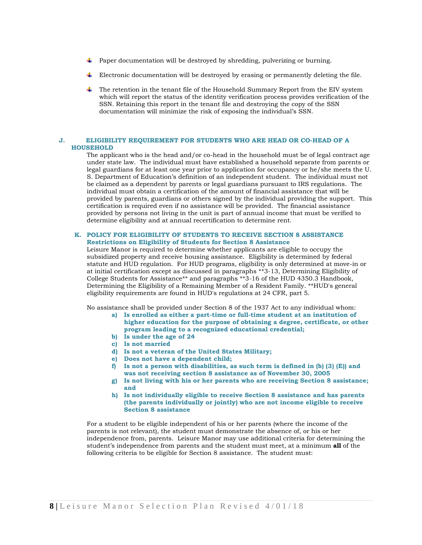- $\ddot{\phantom{1}}$  Paper documentation will be destroyed by shredding, pulverizing or burning.
- $\ddot{\phantom{1}}$  Electronic documentation will be destroyed by erasing or permanently deleting the file.
- $\ddot{\phantom{a}}$  The retention in the tenant file of the Household Summary Report from the EIV system which will report the status of the identity verification process provides verification of the SSN. Retaining this report in the tenant file and destroying the copy of the SSN documentation will minimize the risk of exposing the individual's SSN.

# **J. ELIGIBILITY REQUIREMENT FOR STUDENTS WHO ARE HEAD OR CO-HEAD OF A HOUSEHOLD**

The applicant who is the head and/or co-head in the household must be of legal contract age under state law. The individual must have established a household separate from parents or legal guardians for at least one year prior to application for occupancy or he/she meets the U. S. Department of Education's definition of an independent student. The individual must not be claimed as a dependent by parents or legal guardians pursuant to IRS regulations. The individual must obtain a certification of the amount of financial assistance that will be provided by parents, guardians or others signed by the individual providing the support. This certification is required even if no assistance will be provided. The financial assistance provided by persons not living in the unit is part of annual income that must be verified to determine eligibility and at annual recertification to determine rent.

# **K. POLICY FOR ELIGIBILITY OF STUDENTS TO RECEIVE SECTION 8 ASSISTANCE Restrictions on Eligibility of Students for Section 8 Assistance**

Leisure Manor is required to determine whether applicants are eligible to occupy the subsidized property and receive housing assistance. Eligibility is determined by federal statute and HUD regulation. For HUD programs, eligibility is only determined at move-in or at initial certification except as discussed in paragraphs \*\*3-13, Determining Eligibility of College Students for Assistance\*\* and paragraphs \*\*3-16 of the HUD 4350.3 Handbook, Determining the Eligibility of a Remaining Member of a Resident Family. \*\*HUD's general eligibility requirements are found in HUD's regulations at 24 CFR, part 5.

No assistance shall be provided under Section 8 of the 1937 Act to any individual whom:

- **a) Is enrolled as either a part-time or full-time student at an institution of higher education for the purpose of obtaining a degree, certificate, or other program leading to a recognized educational credential; b) Is under the age of 24**
- **c) Is not married**
- **d) Is not a veteran of the United States Military;**
- **e) Does not have a dependent child;**
- **f) Is not a person with disabilities, as such term is defined in (b) (3) (E)) and was not receiving section 8 assistance as of November 30, 2005**
- **g) Is not living with his or her parents who are receiving Section 8 assistance; and**
- **h) Is not individually eligible to receive Section 8 assistance and has parents (the parents individually or jointly) who are not income eligible to receive Section 8 assistance**

For a student to be eligible independent of his or her parents (where the income of the parents is not relevant), the student must demonstrate the absence of, or his or her independence from, parents. Leisure Manor may use additional criteria for determining the student's independence from parents and the student must meet, at a minimum **all** of the following criteria to be eligible for Section 8 assistance. The student must: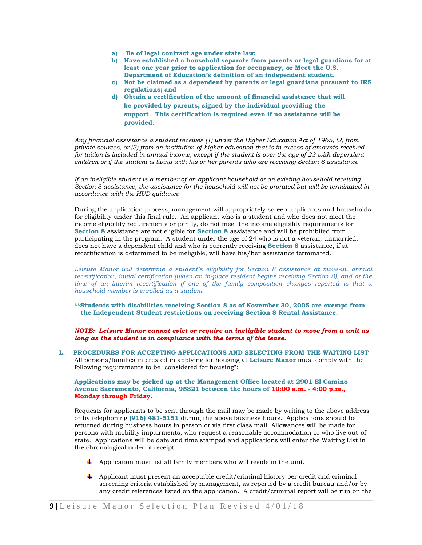- **a) Be of legal contract age under state law;**
- **b) Have established a household separate from parents or legal guardians for at least one year prior to application for occupancy, or Meet the U.S. Department of Education's definition of an independent student.**
- **c) Not be claimed as a dependent by parents or legal guardians pursuant to IRS regulations; and**
- **d) Obtain a certification of the amount of financial assistance that will be provided by parents, signed by the individual providing the support. This certification is required even if no assistance will be provided.**

*Any financial assistance a student receives (1) under the Higher Education Act of 1965, (2) from private sources, or (3) from an institution of higher education that is in excess of amounts received for tuition is included in annual income, except if the student is over the age of 23 with dependent children or if the student is living with his or her parents who are receiving Section 8 assistance.* 

*If an ineligible student is a member of an applicant household or an existing household receiving Section 8 assistance, the assistance for the household will not be prorated but will be terminated in accordance with the HUD guidance* 

During the application process, management will appropriately screen applicants and households for eligibility under this final rule. An applicant who is a student and who does not meet the income eligibility requirements or jointly, do not meet the income eligibility requirements for **Section 8** assistance are not eligible for **Section 8** assistance and will be prohibited from participating in the program. A student under the age of 24 who is not a veteran, unmarried, does not have a dependent child and who is currently receiving **Section 8** assistance, if at recertification is determined to be ineligible, will have his/her assistance terminated.

*Leisure Manor will determine a student's eligibility for Section 8 assistance at move-in, annual recertification, initial certification (when an in-place resident begins receiving Section 8), and at the time of an interim recertification if one of the family composition changes reported is that a household member is enrolled as a student*

**\*\*Students with disabilities receiving Section 8 as of November 30, 2005 are exempt from the Independent Student restrictions on receiving Section 8 Rental Assistance.** 

*NOTE: Leisure Manor cannot evict or require an ineligible student to move from a unit as long as the student is in compliance with the terms of the lease.*

**L. PROCEDURES FOR ACCEPTING APPLICATIONS AND SELECTING FROM THE WAITING LIST**  All persons/families interested in applying for housing at **Leisure Manor** must comply with the following requirements to be "considered for housing":

# **Applications may be picked up at the Management Office located at 2901 El Camino Avenue Sacramento, California, 95821 between the hours of 10:00 a.m. - 4:00 p.m., Monday through Friday.**

Requests for applicants to be sent through the mail may be made by writing to the above address or by telephoning **(916) 481-5151** during the above business hours. Applications should be returned during business hours in person or via first class mail. Allowances will be made for persons with mobility impairments, who request a reasonable accommodation or who live out-ofstate. Applications will be date and time stamped and applications will enter the Waiting List in the chronological order of receipt.

- $\ddot{\phantom{a}}$  Application must list all family members who will reside in the unit.
- $\Box$  Applicant must present an acceptable credit/criminal history per credit and criminal screening criteria established by management, as reported by a credit bureau and/or by any credit references listed on the application. A credit/criminal report will be run on the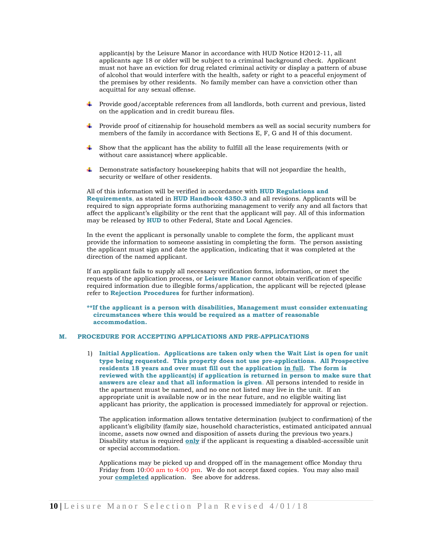applicant(s) by the Leisure Manor in accordance with HUD Notice H2012-11, all applicants age 18 or older will be subject to a criminal background check. Applicant must not have an eviction for drug related criminal activity or display a pattern of abuse of alcohol that would interfere with the health, safety or right to a peaceful enjoyment of the premises by other residents. No family member can have a conviction other than acquittal for any sexual offense.

- Provide good/acceptable references from all landlords, both current and previous, listed on the application and in credit bureau files.
- Provide proof of citizenship for household members as well as social security numbers for members of the family in accordance with Sections E, F, G and H of this document.
- $\ddot{\phantom{a}}$  Show that the applicant has the ability to fulfill all the lease requirements (with or without care assistance) where applicable.
- Demonstrate satisfactory housekeeping habits that will not jeopardize the health, security or welfare of other residents.

All of this information will be verified in accordance with **HUD Regulations and Requirements**, as stated in **HUD Handbook 4350.3** and all revisions. Applicants will be required to sign appropriate forms authorizing management to verify any and all factors that affect the applicant's eligibility or the rent that the applicant will pay. All of this information may be released by **HUD** to other Federal, State and Local Agencies.

In the event the applicant is personally unable to complete the form, the applicant must provide the information to someone assisting in completing the form. The person assisting the applicant must sign and date the application, indicating that it was completed at the direction of the named applicant.

If an applicant fails to supply all necessary verification forms, information, or meet the requests of the application process, or **Leisure Manor** cannot obtain verification of specific required information due to illegible forms/application, the applicant will be rejected (please refer to **Rejection Procedures** for further information).

**\*\*If the applicant is a person with disabilities, Management must consider extenuating circumstances where this would be required as a matter of reasonable accommodation.** 

# **M. PROCEDURE FOR ACCEPTING APPLICATIONS AND PRE-APPLICATIONS**

1) **Initial Application. Applications are taken only when the Wait List is open for unit type being requested. This property does not use pre-applications. All Prospective residents 18 years and over must fill out the application in full. The form is reviewed with the applicant(s) if application is returned in person to make sure that answers are clear and that all information is given**. All persons intended to reside in the apartment must be named, and no one not listed may live in the unit. If an appropriate unit is available now or in the near future, and no eligible waiting list applicant has priority, the application is processed immediately for approval or rejection.

The application information allows tentative determination (subject to confirmation) of the applicant's eligibility (family size, household characteristics, estimated anticipated annual income, assets now owned and disposition of assets during the previous two years.) Disability status is required **only** if the applicant is requesting a disabled-accessible unit or special accommodation.

Applications may be picked up and dropped off in the management office Monday thru Friday from 10:00 am to 4:00 pm. We do not accept faxed copies. You may also mail your **completed** application. See above for address.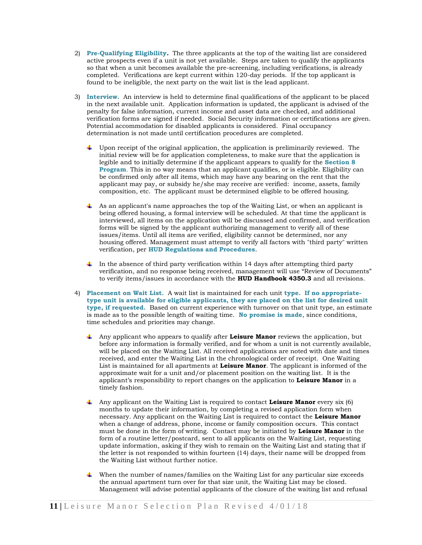- 2) **Pre-Qualifying Eligibility.** The three applicants at the top of the waiting list are considered active prospects even if a unit is not yet available. Steps are taken to qualify the applicants so that when a unit becomes available the pre-screening, including verifications, is already completed. Verifications are kept current within 120-day periods. If the top applicant is found to be ineligible, the next party on the wait list is the lead applicant.
- 3) **Interview.** An interview is held to determine final qualifications of the applicant to be placed in the next available unit. Application information is updated, the applicant is advised of the penalty for false information, current income and asset data are checked, and additional verification forms are signed if needed. Social Security information or certifications are given. Potential accommodation for disabled applicants is considered. Final occupancy determination is not made until certification procedures are completed.
	- Upon receipt of the original application, the application is preliminarily reviewed. The initial review will be for application completeness, to make sure that the application is legible and to initially determine if the applicant appears to qualify for the **Section 8 Program**. This in no way means that an applicant qualifies, or is eligible. Eligibility can be confirmed only after all items, which may have any bearing on the rent that the applicant may pay, or subsidy he/she may receive are verified: income, assets, family composition, etc. The applicant must be determined eligible to be offered housing.
	- As an applicant's name approaches the top of the Waiting List, or when an applicant is being offered housing, a formal interview will be scheduled. At that time the applicant is interviewed, all items on the application will be discussed and confirmed, and verification forms will be signed by the applicant authorizing management to verify all of these issues/items. Until all items are verified, eligibility cannot be determined, nor any housing offered. Management must attempt to verify all factors with "third party" written verification, per **HUD Regulations and Procedures**.
	- In the absence of third party verification within 14 days after attempting third party verification, and no response being received, management will use "Review of Documents" to verify items/issues in accordance with the **HUD Handbook 4350.3** and all revisions.
- 4) **Placement on Wait List.** A wait list is maintained for each unit **type. If no appropriatetype unit is available for eligible applicants, they are placed on the list for desired unit type, if requested.** Based on current experience with turnover on that unit type, an estimate is made as to the possible length of waiting time. **No promise is made**, since conditions, time schedules and priorities may change.
	- Any applicant who appears to qualify after **Leisure Manor** reviews the application, but before any information is formally verified, and for whom a unit is not currently available, will be placed on the Waiting List. All received applications are noted with date and times received, and enter the Waiting List in the chronological order of receipt. One Waiting List is maintained for all apartments at **Leisure Manor**. The applicant is informed of the approximate wait for a unit and/or placement position on the waiting list. It is the applicant's responsibility to report changes on the application to **Leisure Manor** in a timely fashion.
	- Any applicant on the Waiting List is required to contact **Leisure Manor** every six (6) months to update their information, by completing a revised application form when necessary. Any applicant on the Waiting List is required to contact the **Leisure Manor** when a change of address, phone, income or family composition occurs. This contact must be done in the form of writing. Contact may be initiated by **Leisure Manor** in the form of a routine letter/postcard, sent to all applicants on the Waiting List, requesting update information, asking if they wish to remain on the Waiting List and stating that if the letter is not responded to within fourteen (14) days, their name will be dropped from the Waiting List without further notice.
	- When the number of names/families on the Waiting List for any particular size exceeds the annual apartment turn over for that size unit, the Waiting List may be closed. Management will advise potential applicants of the closure of the waiting list and refusal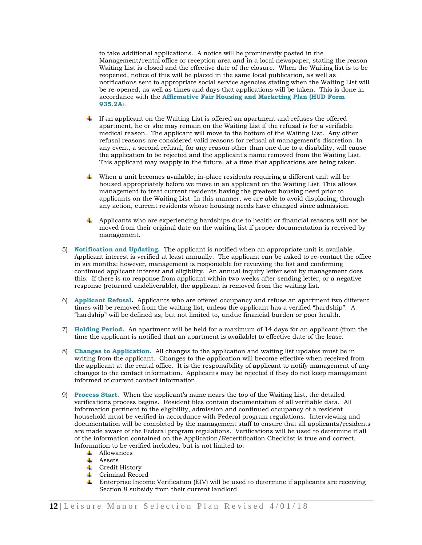to take additional applications. A notice will be prominently posted in the Management/rental office or reception area and in a local newspaper, stating the reason Waiting List is closed and the effective date of the closure. When the Waiting list is to be reopened, notice of this will be placed in the same local publication, as well as notifications sent to appropriate social service agencies stating when the Waiting List will be re-opened, as well as times and days that applications will be taken. This is done in accordance with the **Affirmative Fair Housing and Marketing Plan (HUD Form 935.2A**).

- If an applicant on the Waiting List is offered an apartment and refuses the offered apartment, he or she may remain on the Waiting List if the refusal is for a verifiable medical reason. The applicant will move to the bottom of the Waiting List. Any other refusal reasons are considered valid reasons for refusal at management's discretion. In any event, a second refusal, for any reason other than one due to a disability, will cause the application to be rejected and the applicant's name removed from the Waiting List. This applicant may reapply in the future, at a time that applications are being taken.
- When a unit becomes available, in-place residents requiring a different unit will be housed appropriately before we move in an applicant on the Waiting List. This allows management to treat current residents having the greatest housing need prior to applicants on the Waiting List. In this manner, we are able to avoid displacing, through any action, current residents whose housing needs have changed since admission.
- $\overline{\phantom{a}}$  Applicants who are experiencing hardships due to health or financial reasons will not be moved from their original date on the waiting list if proper documentation is received by management.
- 5) **Notification and Updating.** The applicant is notified when an appropriate unit is available. Applicant interest is verified at least annually. The applicant can be asked to re-contact the office in six months; however, management is responsible for reviewing the list and confirming continued applicant interest and eligibility. An annual inquiry letter sent by management does this. If there is no response from applicant within two weeks after sending letter, or a negative response (returned undeliverable), the applicant is removed from the waiting list.
- 6) **Applicant Refusal.** Applicants who are offered occupancy and refuse an apartment two different times will be removed from the waiting list, unless the applicant has a verified "hardship". A "hardship" will be defined as, but not limited to, undue financial burden or poor health.
- 7) **Holding Period.** An apartment will be held for a maximum of 14 days for an applicant (from the time the applicant is notified that an apartment is available) to effective date of the lease.
- 8) **Changes to Application.** All changes to the application and waiting list updates must be in writing from the applicant. Changes to the application will become effective when received from the applicant at the rental office. It is the responsibility of applicant to notify management of any changes to the contact information. Applicants may be rejected if they do not keep management informed of current contact information.
- 9) **Process Start.** When the applicant's name nears the top of the Waiting List, the detailed verifications process begins. Resident files contain documentation of all verifiable data. All information pertinent to the eligibility, admission and continued occupancy of a resident household must be verified in accordance with Federal program regulations. Interviewing and documentation will be completed by the management staff to ensure that all applicants/residents are made aware of the Federal program regulations. Verifications will be used to determine if all of the information contained on the Application/Recertification Checklist is true and correct. Information to be verified includes, but is not limited to:
	- **↓** Allowances
	- $\overline{\phantom{a}}$  Assets
	- **↓** Credit History
	- **↓** Criminal Record
	- Enterprise Income Verification (EIV) will be used to determine if applicants are receiving Section 8 subsidy from their current landlord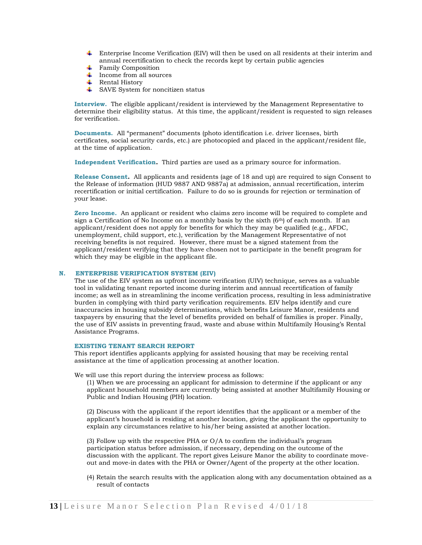- **Enterprise Income Verification (EIV) will then be used on all residents at their interim and** annual recertification to check the records kept by certain public agencies
- $\overline{\phantom{a}}$  Family Composition
- $\overline{\phantom{a}}$  Income from all sources
- $\downarrow$  Rental History
- $\overline{\phantom{a}}$  SAVE System for noncitizen status

**Interview.** The eligible applicant/resident is interviewed by the Management Representative to determine their eligibility status. At this time, the applicant/resident is requested to sign releases for verification.

**Documents.** All "permanent" documents (photo identification i.e. driver licenses, birth certificates, social security cards, etc.) are photocopied and placed in the applicant/resident file, at the time of application.

 **Independent Verification.** Third parties are used as a primary source for information.

**Release Consent.** All applicants and residents (age of 18 and up) are required to sign Consent to the Release of information (HUD 9887 AND 9887a) at admission, annual recertification, interim recertification or initial certification. Failure to do so is grounds for rejection or termination of your lease.

**Zero Income.** An applicant or resident who claims zero income will be required to complete and sign a Certification of No Income on a monthly basis by the sixth  $(6<sup>th</sup>)$  of each month. If an applicant/resident does not apply for benefits for which they may be qualified (e.g., AFDC, unemployment, child support, etc.), verification by the Management Representative of not receiving benefits is not required. However, there must be a signed statement from the applicant/resident verifying that they have chosen not to participate in the benefit program for which they may be eligible in the applicant file.

# **N. ENTERPRISE VERIFICATION SYSTEM (EIV)**

The use of the EIV system as upfront income verification (UIV) technique, serves as a valuable tool in validating tenant reported income during interim and annual recertification of family income; as well as in streamlining the income verification process, resulting in less administrative burden in complying with third party verification requirements. EIV helps identify and cure inaccuracies in housing subsidy determinations, which benefits Leisure Manor, residents and taxpayers by ensuring that the level of benefits provided on behalf of families is proper. Finally, the use of EIV assists in preventing fraud, waste and abuse within Multifamily Housing's Rental Assistance Programs.

# **EXISTING TENANT SEARCH REPORT**

This report identifies applicants applying for assisted housing that may be receiving rental assistance at the time of application processing at another location.

We will use this report during the interview process as follows:

(1) When we are processing an applicant for admission to determine if the applicant or any applicant household members are currently being assisted at another Multifamily Housing or Public and Indian Housing (PIH) location.

(2) Discuss with the applicant if the report identifies that the applicant or a member of the applicant's household is residing at another location, giving the applicant the opportunity to explain any circumstances relative to his/her being assisted at another location.

(3) Follow up with the respective PHA or O/A to confirm the individual's program participation status before admission, if necessary, depending on the outcome of the discussion with the applicant. The report gives Leisure Manor the ability to coordinate moveout and move-in dates with the PHA or Owner/Agent of the property at the other location.

(4) Retain the search results with the application along with any documentation obtained as a result of contacts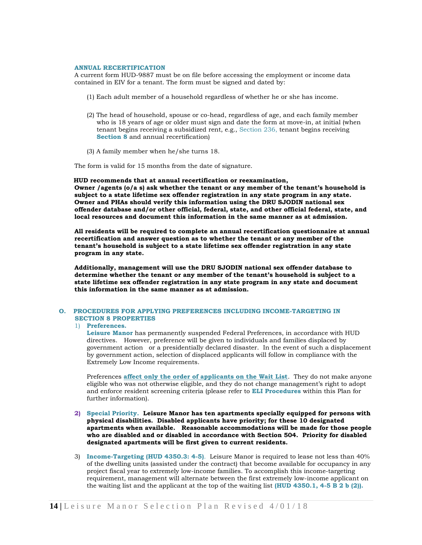#### **ANNUAL RECERTIFICATION**

A current form HUD-9887 must be on file before accessing the employment or income data contained in EIV for a tenant. The form must be signed and dated by:

- (1) Each adult member of a household regardless of whether he or she has income.
- (2) The head of household, spouse or co-head, regardless of age, and each family member who is 18 years of age or older must sign and date the form at move-in, at initial (when tenant begins receiving a subsidized rent, e.g., Section 236, tenant begins receiving **Section 8** and annual recertification)
- (3) A family member when he/she turns 18.

The form is valid for 15 months from the date of signature.

 **HUD recommends that at annual recertification or reexamination, Owner /agents (o/a s) ask whether the tenant or any member of the tenant's household is subject to a state lifetime sex offender registration in any state program in any state. Owner and PHAs should verify this information using the DRU SJODIN national sex offender database and/or other official, federal, state, and other official federal, state, and local resources and document this information in the same manner as at admission.**

**All residents will be required to complete an annual recertification questionnaire at annual recertification and answer question as to whether the tenant or any member of the tenant's household is subject to a state lifetime sex offender registration in any state program in any state.**

**Additionally, management will use the DRU SJODIN national sex offender database to determine whether the tenant or any member of the tenant's household is subject to a state lifetime sex offender registration in any state program in any state and document this information in the same manner as at admission.**

# **O. PROCEDURES FOR APPLYING PREFERENCES INCLUDING INCOME-TARGETING IN SECTION 8 PROPERTIES**

# 1) **Preferences.**

**Leisure Manor** has permanently suspended Federal Preferences, in accordance with HUD directives. However, preference will be given to individuals and families displaced by government action or a presidentially declared disaster. In the event of such a displacement by government action, selection of displaced applicants will follow in compliance with the Extremely Low Income requirements.

Preferences **affect only the order of applicants on the Wait List**. They do not make anyone eligible who was not otherwise eligible, and they do not change management's right to adopt and enforce resident screening criteria (please refer to **ELI Procedures** within this Plan for further information).

- **2) Special Priority. Leisure Manor has ten apartments specially equipped for persons with physical disabilities. Disabled applicants have priority; for these 10 designated apartments when available. Reasonable accommodations will be made for those people who are disabled and or disabled in accordance with Section 504. Priority for disabled designated apartments will be first given to current residents.**
- 3) **Income-Targeting (HUD 4350.3: 4-5)**. Leisure Manor is required to lease not less than 40% of the dwelling units (assisted under the contract) that become available for occupancy in any project fiscal year to extremely low-income families. To accomplish this income-targeting requirement, management will alternate between the first extremely low-income applicant on the waiting list and the applicant at the top of the waiting list **(HUD 4350.1, 4-5 B 2 b (2)).**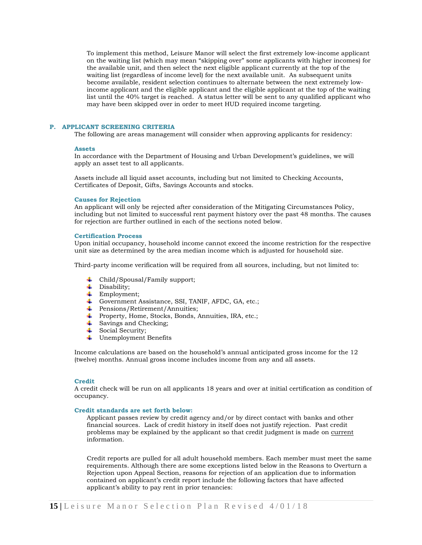To implement this method, Leisure Manor will select the first extremely low-income applicant on the waiting list (which may mean "skipping over" some applicants with higher incomes) for the available unit, and then select the next eligible applicant currently at the top of the waiting list (regardless of income level) for the next available unit. As subsequent units become available, resident selection continues to alternate between the next extremely lowincome applicant and the eligible applicant and the eligible applicant at the top of the waiting list until the 40% target is reached. A status letter will be sent to any qualified applicant who may have been skipped over in order to meet HUD required income targeting.

#### **P. APPLICANT SCREENING CRITERIA**

The following are areas management will consider when approving applicants for residency:

#### **Assets**

In accordance with the Department of Housing and Urban Development's guidelines, we will apply an asset test to all applicants.

Assets include all liquid asset accounts, including but not limited to Checking Accounts, Certificates of Deposit, Gifts, Savings Accounts and stocks.

#### **Causes for Rejection**

An applicant will only be rejected after consideration of the Mitigating Circumstances Policy, including but not limited to successful rent payment history over the past 48 months. The causes for rejection are further outlined in each of the sections noted below.

#### **Certification Process**

Upon initial occupancy, household income cannot exceed the income restriction for the respective unit size as determined by the area median income which is adjusted for household size.

Third-party income verification will be required from all sources, including, but not limited to:

- Child/Spousal/Family support;
- ₩. Disability;
- Employment;
- Government Assistance, SSI, TANIF, AFDC, GA, etc.;
- Pensions/Retirement/Annuities;
- Property, Home, Stocks, Bonds, Annuities, IRA, etc.;
- Savings and Checking;
- ₩. Social Security;
- ₩., Unemployment Benefits

Income calculations are based on the household's annual anticipated gross income for the 12 (twelve) months. Annual gross income includes income from any and all assets.

#### **Credit**

A credit check will be run on all applicants 18 years and over at initial certification as condition of occupancy.

#### **Credit standards are set forth below:**

Applicant passes review by credit agency and/or by direct contact with banks and other financial sources. Lack of credit history in itself does not justify rejection. Past credit problems may be explained by the applicant so that credit judgment is made on current information.

Credit reports are pulled for all adult household members. Each member must meet the same requirements. Although there are some exceptions listed below in the Reasons to Overturn a Rejection upon Appeal Section, reasons for rejection of an application due to information contained on applicant's credit report include the following factors that have affected applicant's ability to pay rent in prior tenancies: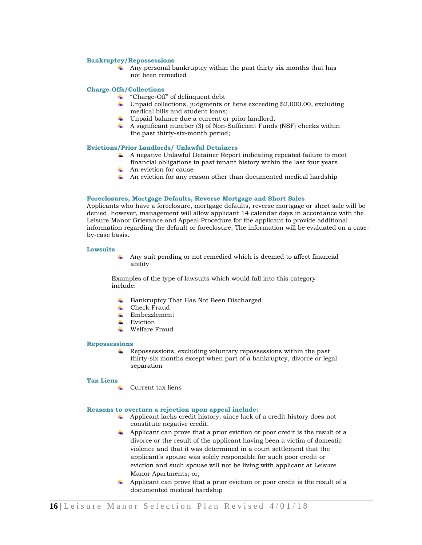#### **Bankruptcy/Repossessions**

 $\overline{\mathbf{A}}$  Any personal bankruptcy within the past thirty six months that has not been remedied

#### **Charge-Offs/Collections**

- "Charge-Off" of delinquent debt
- Unpaid collections, judgments or liens exceeding \$2,000.00, excluding medical bills and student loans;
- Unpaid balance due a current or prior landlord;
- $\overline{\phantom{a}}$  A significant number (3) of Non-Sufficient Funds (NSF) checks within the past thirty-six-month period;

#### **Evictions/Prior Landlords/ Unlawful Detainers**

- A negative Unlawful Detainer Report indicating repeated failure to meet financial obligations in past tenant history within the last four years
- $\leftarrow$  An eviction for cause
- $\overline{\phantom{a}}$  An eviction for any reason other than documented medical hardship

# **Foreclosures, Mortgage Defaults, Reverse Mortgage and Short Sales**

Applicants who have a foreclosure, mortgage defaults, reverse mortgage or short sale will be denied, however, management will allow applicant 14 calendar days in accordance with the Leisure Manor Grievance and Appeal Procedure for the applicant to provide additional information regarding the default or foreclosure. The information will be evaluated on a caseby-case basis.

#### **Lawsuits**

- 
- Any suit pending or not remedied which is deemed to affect financial ability

Examples of the type of lawsuits which would fall into this category include:

- **↓** Bankruptcy That Has Not Been Discharged
- $\leftarrow$  Check Fraud
- $\leftarrow$  Embezzlement
- $\overline{\phantom{a}}$  Eviction
- Welfare Fraud

#### **Repossessions**

 $\overline{\text{4}}$  Repossessions, excluding voluntary repossessions within the past thirty-six months except when part of a bankruptcy, divorce or legal separation

# **Tax Liens**

 $\overline{\phantom{a}}$  Current tax liens

#### **Reasons to overturn a rejection upon appeal include:**

- Applicant lacks credit history, since lack of a credit history does not constitute negative credit.
- Applicant can prove that a prior eviction or poor credit is the result of a divorce or the result of the applicant having been a victim of domestic violence and that it was determined in a court settlement that the applicant's spouse was solely responsible for such poor credit or eviction and such spouse will not be living with applicant at Leisure Manor Apartments; or,
- $\ddot{\phantom{1}}$  Applicant can prove that a prior eviction or poor credit is the result of a documented medical hardship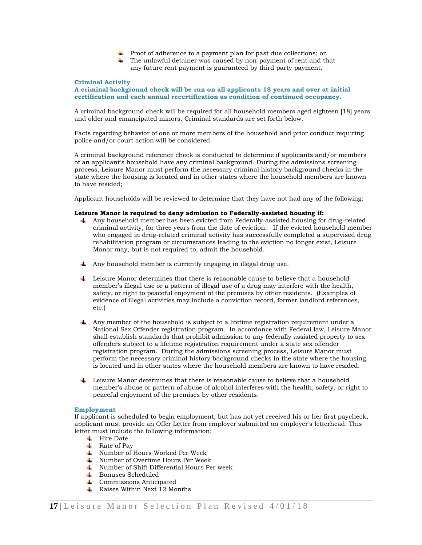- $\overline{\phantom{a} \bullet}$  Proof of adherence to a payment plan for past due collections; or,
- $\ddot{\bullet}$  The unlawful detainer was caused by non-payment of rent and that any future rent payment is guaranteed by third party payment.

# **Criminal Activity**

# **A criminal background check will be run on all applicants 18 years and over at initial certification and each annual recertification as condition of continued occupancy.**

A criminal background check will be required for all household members aged eighteen [18] years and older and emancipated minors. Criminal standards are set forth below.

Facts regarding behavior of one or more members of the household and prior conduct requiring police and/or court action will be considered.

A criminal background reference check is conducted to determine if applicants and/or members of an applicant's household have any criminal background. During the admissions screening process, Leisure Manor must perform the necessary criminal history background checks in the state where the housing is located and in other states where the household members are known to have resided;

Applicant households will be reviewed to determine that they have not had any of the following:

# **Leisure Manor is required to deny admission to Federally-assisted housing if:**

- Any household member has been evicted from Federally-assisted housing for drug-related criminal activity, for three years from the date of eviction. If the evicted household member who engaged in drug-related criminal activity has successfully completed a supervised drug rehabilitation program or circumstances leading to the eviction no longer exist, Leisure Manor may, but is not required to, admit the household.
- Any household member is currently engaging in illegal drug use.
- $\downarrow$  Leisure Manor determines that there is reasonable cause to believe that a household member's illegal use or a pattern of illegal use of a drug may interfere with the health, safety, or right to peaceful enjoyment of the premises by other residents. (Examples of evidence of illegal activities may include a conviction record, former landlord references, etc.)
- Any member of the household is subject to a lifetime registration requirement under a National Sex Offender registration program. In accordance with Federal law, Leisure Manor shall establish standards that prohibit admission to any federally assisted property to sex offenders subject to a lifetime registration requirement under a state sex offender registration program. During the admissions screening process, Leisure Manor must perform the necessary criminal history background checks in the state where the housing is located and in other states where the household members are known to have resided.
- $\ddot{\bullet}$  Leisure Manor determines that there is reasonable cause to believe that a household member's abuse or pattern of abuse of alcohol interferes with the health, safety, or right to peaceful enjoyment of the premises by other residents.

#### **Employment**

If applicant is scheduled to begin employment, but has not yet received his or her first paycheck, applicant must provide an Offer Letter from employer submitted on employer's letterhead. This letter must include the following information:

- $\ddotplus$  Hire Date
- $\overline{\phantom{a}}$  Rate of Pay
- Number of Hours Worked Per Week
- Number of Overtime Hours Per Week
- Number of Shift Differential Hours Per week
- **Bonuses Scheduled**
- **↓** Commissions Anticipated
- Raises Within Next  $12$  Months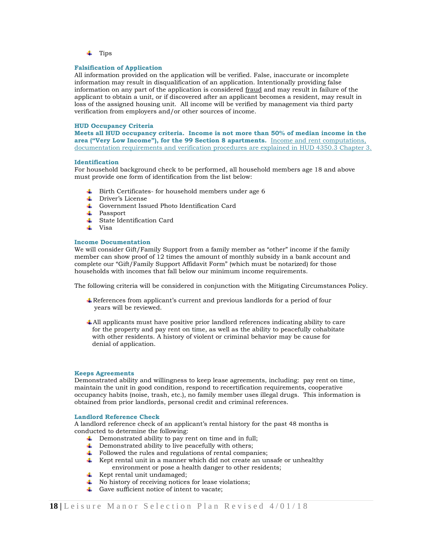$\downarrow$  Tips

# **Falsification of Application**

All information provided on the application will be verified. False, inaccurate or incomplete information may result in disqualification of an application. Intentionally providing false information on any part of the application is considered fraud and may result in failure of the applicant to obtain a unit, or if discovered after an applicant becomes a resident, may result in loss of the assigned housing unit. All income will be verified by management via third party verification from employers and/or other sources of income.

#### **HUD Occupancy Criteria**

**Meets all HUD occupancy criteria. Income is not more than 50% of median income in the area ("Very Low Income"), for the 99 Section 8 apartments.** Income and rent computations, documentation requirements and verification procedures are explained in HUD 4350.3 Chapter 3.

#### **Identification**

For household background check to be performed, all household members age 18 and above must provide one form of identification from the list below:

- $\ddot{\phantom{1}}$  Birth Certificates- for household members under age 6
- Driver's License
- Government Issued Photo Identification Card
- **↓** Passport
- **↓** State Identification Card
- $\perp$  Visa

# **Income Documentation**

We will consider Gift/Family Support from a family member as "other" income if the family member can show proof of 12 times the amount of monthly subsidy in a bank account and complete our "Gift/Family Support Affidavit Form" (which must be notarized) for those households with incomes that fall below our minimum income requirements.

The following criteria will be considered in conjunction with the Mitigating Circumstances Policy.

- References from applicant's current and previous landlords for a period of four years will be reviewed.
- All applicants must have positive prior landlord references indicating ability to care for the property and pay rent on time, as well as the ability to peacefully cohabitate with other residents. A history of violent or criminal behavior may be cause for denial of application.

#### **Keeps Agreements**

Demonstrated ability and willingness to keep lease agreements, including: pay rent on time, maintain the unit in good condition, respond to recertification requirements, cooperative occupancy habits (noise, trash, etc.), no family member uses illegal drugs. This information is obtained from prior landlords, personal credit and criminal references.

#### **Landlord Reference Check**

A landlord reference check of an applicant's rental history for the past 48 months is conducted to determine the following:

- Demonstrated ability to pay rent on time and in full;
- $\quad \rule{2mm}{2mm}$  Demonstrated ability to live peacefully with others;
- $\overline{\phantom{a}}$  Followed the rules and regulations of rental companies;
- $\quad \quad \text{Kept}$  rental unit in a manner which did not create an unsafe or unhealthy environment or pose a health danger to other residents;
- $\overline{\phantom{a}}$  Kept rental unit undamaged;
- $\overline{\phantom{a}}$  No history of receiving notices for lease violations;
- Gave sufficient notice of intent to vacate: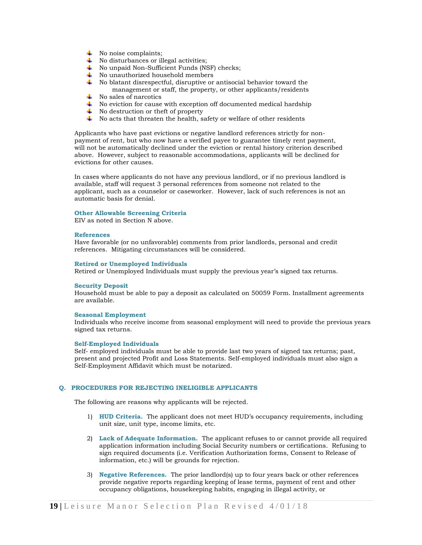- $\overline{\phantom{a}}$  No noise complaints;
- $\overline{\phantom{a}}$  No disturbances or illegal activities;
- No unpaid Non-Sufficient Funds (NSF) checks;
- $\downarrow$  No unauthorized household members
- $\ddot{\bullet}$  No blatant disrespectful, disruptive or antisocial behavior toward the
	- management or staff, the property, or other applicants/residents
- $\overline{\phantom{a}}$  No sales of narcotics
- $\overline{\phantom{a}}$  No eviction for cause with exception off documented medical hardship
- $\overline{\phantom{a}}$  No destruction or theft of property
- $\ddot{\bullet}$  No acts that threaten the health, safety or welfare of other residents

Applicants who have past evictions or negative landlord references strictly for nonpayment of rent, but who now have a verified payee to guarantee timely rent payment, will not be automatically declined under the eviction or rental history criterion described above. However, subject to reasonable accommodations, applicants will be declined for evictions for other causes.

In cases where applicants do not have any previous landlord, or if no previous landlord is available, staff will request 3 personal references from someone not related to the applicant, such as a counselor or caseworker. However, lack of such references is not an automatic basis for denial.

#### **Other Allowable Screening Criteria**

EIV as noted in Section N above.

#### **References**

Have favorable (or no unfavorable) comments from prior landlords, personal and credit references. Mitigating circumstances will be considered.

#### **Retired or Unemployed Individuals**

Retired or Unemployed Individuals must supply the previous year's signed tax returns.

# **Security Deposit**

Household must be able to pay a deposit as calculated on 50059 Form. Installment agreements are available.

#### **Seasonal Employment**

Individuals who receive income from seasonal employment will need to provide the previous years signed tax returns.

#### **Self-Employed Individuals**

Self- employed individuals must be able to provide last two years of signed tax returns; past, present and projected Profit and Loss Statements. Self-employed individuals must also sign a Self-Employment Affidavit which must be notarized.

### **Q. PROCEDURES FOR REJECTING INELIGIBLE APPLICANTS**

The following are reasons why applicants will be rejected.

- 1) **HUD Criteria.** The applicant does not meet HUD's occupancy requirements, including unit size, unit type, income limits, etc.
- 2) **Lack of Adequate Information.** The applicant refuses to or cannot provide all required application information including Social Security numbers or certifications. Refusing to sign required documents (i.e. Verification Authorization forms, Consent to Release of information, etc.) will be grounds for rejection.
- 3) **Negative References.** The prior landlord(s) up to four years back or other references provide negative reports regarding keeping of lease terms, payment of rent and other occupancy obligations, housekeeping habits, engaging in illegal activity, or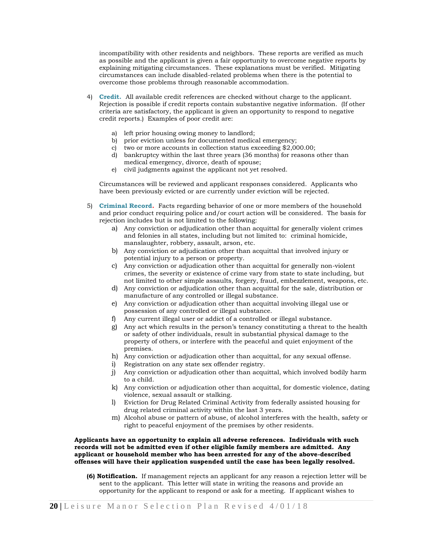incompatibility with other residents and neighbors. These reports are verified as much as possible and the applicant is given a fair opportunity to overcome negative reports by explaining mitigating circumstances. These explanations must be verified. Mitigating circumstances can include disabled-related problems when there is the potential to overcome those problems through reasonable accommodation.

- 4) **Credit.** All available credit references are checked without charge to the applicant. Rejection is possible if credit reports contain substantive negative information. (If other criteria are satisfactory, the applicant is given an opportunity to respond to negative credit reports.) Examples of poor credit are:
	- a) left prior housing owing money to landlord;
	- b) prior eviction unless for documented medical emergency;
	- c) two or more accounts in collection status exceeding \$2,000.00;
	- d) bankruptcy within the last three years (36 months) for reasons other than medical emergency, divorce, death of spouse;
	- e) civil judgments against the applicant not yet resolved.

Circumstances will be reviewed and applicant responses considered. Applicants who have been previously evicted or are currently under eviction will be rejected.

- 5) **Criminal Record.** Facts regarding behavior of one or more members of the household and prior conduct requiring police and/or court action will be considered. The basis for rejection includes but is not limited to the following:
	- a) Any conviction or adjudication other than acquittal for generally violent crimes and felonies in all states, including but not limited to: criminal homicide, manslaughter, robbery, assault, arson, etc.
	- b) Any conviction or adjudication other than acquittal that involved injury or potential injury to a person or property.
	- c) Any conviction or adjudication other than acquittal for generally non-violent crimes, the severity or existence of crime vary from state to state including, but not limited to other simple assaults, forgery, fraud, embezzlement, weapons, etc.
	- d) Any conviction or adjudication other than acquittal for the sale, distribution or manufacture of any controlled or illegal substance.
	- e) Any conviction or adjudication other than acquittal involving illegal use or possession of any controlled or illegal substance.
	- f) Any current illegal user or addict of a controlled or illegal substance.
	- g) Any act which results in the person's tenancy constituting a threat to the health or safety of other individuals, result in substantial physical damage to the property of others, or interfere with the peaceful and quiet enjoyment of the premises.
	- h) Any conviction or adjudication other than acquittal, for any sexual offense.
	- i) Registration on any state sex offender registry.
	- j) Any conviction or adjudication other than acquittal, which involved bodily harm to a child.
	- k) Any conviction or adjudication other than acquittal, for domestic violence, dating violence, sexual assault or stalking.
	- l) Eviction for Drug Related Criminal Activity from federally assisted housing for drug related criminal activity within the last 3 years.
	- m) Alcohol abuse or pattern of abuse, of alcohol interferes with the health, safety or right to peaceful enjoyment of the premises by other residents.

# **Applicants have an opportunity to explain all adverse references. Individuals with such records will not be admitted even if other eligible family members are admitted. Any applicant or household member who has been arrested for any of the above-described offenses will have their application suspended until the case has been legally resolved.**

**(6) Notification.** If management rejects an applicant for any reason a rejection letter will be sent to the applicant. This letter will state in writing the reasons and provide an opportunity for the applicant to respond or ask for a meeting. If applicant wishes to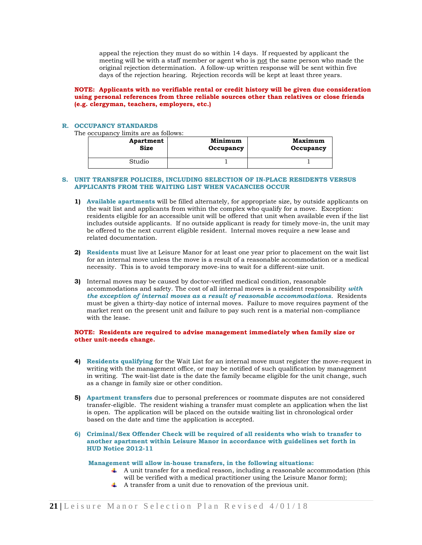appeal the rejection they must do so within 14 days. If requested by applicant the meeting will be with a staff member or agent who is not the same person who made the original rejection determination. A follow-up written response will be sent within five days of the rejection hearing. Rejection records will be kept at least three years.

# **NOTE: Applicants with no verifiable rental or credit history will be given due consideration using personal references from three reliable sources other than relatives or close friends (e.g. clergyman, teachers, employers, etc.)**

# **R. OCCUPANCY STANDARDS**

The occupancy limits are as follows:

| Apartment   | Minimum   | <b>Maximum</b> |
|-------------|-----------|----------------|
| <b>Size</b> | Occupancy | Occupancy      |
| Studio      |           |                |

#### **S. UNIT TRANSFER POLICIES, INCLUDING SELECTION OF IN-PLACE RESIDENTS VERSUS APPLICANTS FROM THE WAITING LIST WHEN VACANCIES OCCUR**

- **1) Available apartments** will be filled alternately, for appropriate size, by outside applicants on the wait list and applicants from within the complex who qualify for a move. Exception: residents eligible for an accessible unit will be offered that unit when available even if the list includes outside applicants. If no outside applicant is ready for timely move-in, the unit may be offered to the next current eligible resident. Internal moves require a new lease and related documentation.
- **2) Residents** must live at Leisure Manor for at least one year prior to placement on the wait list for an internal move unless the move is a result of a reasonable accommodation or a medical necessity. This is to avoid temporary move-ins to wait for a different-size unit.
- **3)** Internal moves may be caused by doctor-verified medical condition, reasonable accommodations and safety. The cost of all internal moves is a resident responsibility *with the exception of internal moves as a result of reasonable accommodations*. Residents must be given a thirty-day notice of internal moves. Failure to move requires payment of the market rent on the present unit and failure to pay such rent is a material non-compliance with the lease.

# **NOTE: Residents are required to advise management immediately when family size or other unit-needs change.**

- **4) Residents qualifying** for the Wait List for an internal move must register the move-request in writing with the management office, or may be notified of such qualification by management in writing. The wait-list date is the date the family became eligible for the unit change, such as a change in family size or other condition.
- **5) Apartment transfers** due to personal preferences or roommate disputes are not considered transfer-eligible. The resident wishing a transfer must complete an application when the list is open. The application will be placed on the outside waiting list in chronological order based on the date and time the application is accepted.
- **6) Criminal/Sex Offender Check will be required of all residents who wish to transfer to another apartment within Leisure Manor in accordance with guidelines set forth in HUD Notice 2012-11**

#### **Management will allow in-house transfers, in the following situations:**

- $\uparrow$  A unit transfer for a medical reason, including a reasonable accommodation (this
- will be verified with a medical practitioner using the Leisure Manor form);
- $\uparrow$  A transfer from a unit due to renovation of the previous unit.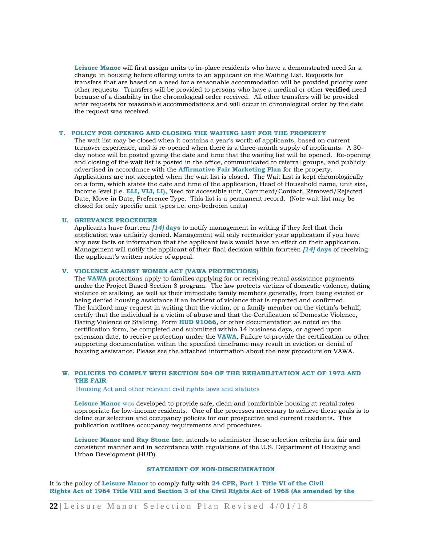**Leisure Manor** will first assign units to in-place residents who have a demonstrated need for a change in housing before offering units to an applicant on the Waiting List. Requests for transfers that are based on a need for a reasonable accommodation will be provided priority over other requests. Transfers will be provided to persons who have a medical or other **verified** need because of a disability in the chronological order received. All other transfers will be provided after requests for reasonable accommodations and will occur in chronological order by the date the request was received.

# **T. POLICY FOR OPENING AND CLOSING THE WAITING LIST FOR THE PROPERTY**

The wait list may be closed when it contains a year's worth of applicants, based on current turnover experience, and is re-opened when there is a three-month supply of applicants. A 30 day notice will be posted giving the date and time that the waiting list will be opened. Re-opening and closing of the wait list is posted in the office, communicated to referral groups, and publicly advertised in accordance with the **Affirmative Fair Marketing Plan** for the property. Applications are not accepted when the wait list is closed. The Wait List is kept chronologically on a form, which states the date and time of the application, Head of Household name, unit size, income level (i.e. **ELI, VLI, LI),** Need for accessible unit, Comment/Contact, Removed/Rejected Date, Move-in Date, Preference Type. This list is a permanent record. (Note wait list may be closed for only specific unit types i.e. one-bedroom units)

# **U. GRIEVANCE PROCEDURE**

Applicants have fourteen *[14)* **days** to notify management in writing if they feel that their application was unfairly denied. Management will only reconsider your application if you have any new facts or information that the applicant feels would have an effect on their application. Management will notify the applicant of their final decision within fourteen *[14]* **days** of receiving the applicant's written notice of appeal.

# **V. VIOLENCE AGAINST WOMEN ACT (VAWA PROTECTIONS)**

The **VAWA** protections apply to families applying for or receiving rental assistance payments under the Project Based Section 8 program. The law protects victims of domestic violence, dating violence or stalking, as well as their immediate family members generally, from being evicted or being denied housing assistance if an incident of violence that is reported and confirmed. The landlord may request in writing that the victim, or a family member on the victim's behalf, certify that the individual is a victim of abuse and that the Certification of Domestic Violence, Dating Violence or Stalking, Form **HUD 91066**, or other documentation as noted on the certification form, be completed and submitted within 14 business days, or agreed upon extension date, to receive protection under the **VAWA**. Failure to provide the certification or other supporting documentation within the specified timeframe may result in eviction or denial of housing assistance. Please see the attached information about the new procedure on VAWA.

# **W. POLICIES TO COMPLY WITH SECTION 504 OF THE REHABILITATION ACT OF 1973 AND THE FAIR**

Housing Act and other relevant civil rights laws and statutes

**Leisure Manor** was developed to provide safe, clean and comfortable housing at rental rates appropriate for low-income residents. One of the processes necessary to achieve these goals is to define our selection and occupancy policies for our prospective and current residents. This publication outlines occupancy requirements and procedures.

**Leisure Manor and Ray Stone Inc.** intends to administer these selection criteria in a fair and consistent manner and in accordance with regulations of the U.S. Department of Housing and Urban Development (HUD).

# **STATEMENT OF NON-DISCRIMINATION**

It is the policy of **Leisure Manor** to comply fully with **24 CFR, Part 1 Title VI of the Civil Rights Act of 1964 Title VIII and Section 3 of the Civil Rights Act of 1968 (As amended by the**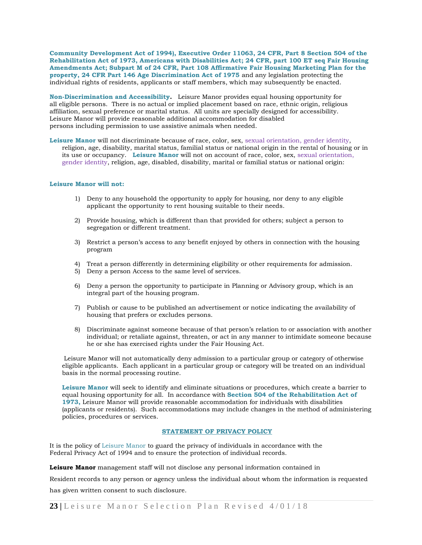**Community Development Act of 1994), Executive Order 11063, 24 CFR, Part 8 Section 504 of the Rehabilitation Act of 1973, Americans with Disabilities Act; 24 CFR, part 100 ET seq Fair Housing Amendments Act; Subpart M of 24 CFR, Part 108 Affirmative Fair Housing Marketing Plan for the property, 24 CFR Part 146 Age Discrimination Act of 1975** and any legislation protecting the individual rights of residents, applicants or staff members, which may subsequently be enacted.

**Non-Discrimination and Accessibility.** Leisure Manor provides equal housing opportunity for all eligible persons. There is no actual or implied placement based on race, ethnic origin, religious affiliation, sexual preference or marital status. All units are specially designed for accessibility. Leisure Manor will provide reasonable additional accommodation for disabled persons including permission to use assistive animals when needed.

Leisure Manor will not discriminate because of race, color, sex, sexual orientation, gender identity, religion, age, disability, marital status, familial status or national origin in the rental of housing or in its use or occupancy. **Leisure Manor** will not on account of race, color, sex, sexual orientation, gender identity, religion, age, disabled, disability, marital or familial status or national origin:

#### **Leisure Manor will not:**

- 1) Deny to any household the opportunity to apply for housing, nor deny to any eligible applicant the opportunity to rent housing suitable to their needs.
- 2) Provide housing, which is different than that provided for others; subject a person to segregation or different treatment.
- 3) Restrict a person's access to any benefit enjoyed by others in connection with the housing program
- 4) Treat a person differently in determining eligibility or other requirements for admission.
- 5) Deny a person Access to the same level of services.
- 6) Deny a person the opportunity to participate in Planning or Advisory group, which is an integral part of the housing program.
- 7) Publish or cause to be published an advertisement or notice indicating the availability of housing that prefers or excludes persons.
- 8) Discriminate against someone because of that person's relation to or association with another individual; or retaliate against, threaten, or act in any manner to intimidate someone because he or she has exercised rights under the Fair Housing Act.

Leisure Manor will not automatically deny admission to a particular group or category of otherwise eligible applicants. Each applicant in a particular group or category will be treated on an individual basis in the normal processing routine.

**Leisure Manor** will seek to identify and eliminate situations or procedures, which create a barrier to equal housing opportunity for all. In accordance with **Section 504 of the Rehabilitation Act of 1973,** Leisure Manor will provide reasonable accommodation for individuals with disabilities (applicants or residents). Such accommodations may include changes in the method of administering policies, procedures or services.

# **STATEMENT OF PRIVACY POLICY**

It is the policy of Leisure Manor to guard the privacy of individuals in accordance with the Federal Privacy Act of 1994 and to ensure the protection of individual records.

**Leisure Manor** management staff will not disclose any personal information contained in

Resident records to any person or agency unless the individual about whom the information is requested has given written consent to such disclosure.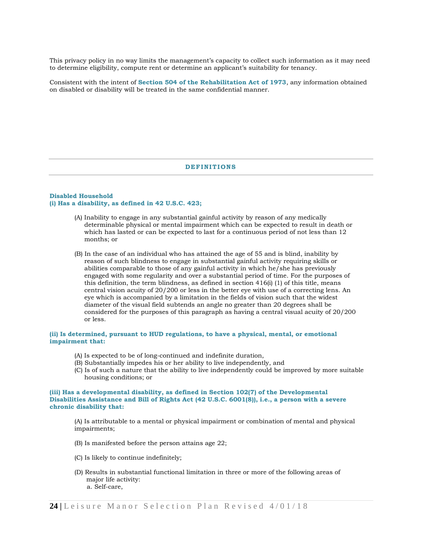This privacy policy in no way limits the management's capacity to collect such information as it may need to determine eligibility, compute rent or determine an applicant's suitability for tenancy.

Consistent with the intent of **Section 504 of the Rehabilitation Act of 1973**, any information obtained on disabled or disability will be treated in the same confidential manner.

# **DEF INIT IONS**

#### **Disabled Household (i) Has a disability, as defined in 42 U.S.C. 423;**

- (A) Inability to engage in any substantial gainful activity by reason of any medically determinable physical or mental impairment which can be expected to result in death or which has lasted or can be expected to last for a continuous period of not less than 12 months; or
- (B) In the case of an individual who has attained the age of 55 and is blind, inability by reason of such blindness to engage in substantial gainful activity requiring skills or abilities comparable to those of any gainful activity in which he/she has previously engaged with some regularity and over a substantial period of time. For the purposes of this definition, the term blindness, as defined in section  $416(i)$  (1) of this title, means central vision acuity of 20/200 or less in the better eye with use of a correcting lens. An eye which is accompanied by a limitation in the fields of vision such that the widest diameter of the visual field subtends an angle no greater than 20 degrees shall be considered for the purposes of this paragraph as having a central visual acuity of 20/200 or less.

# **(ii) Is determined, pursuant to HUD regulations, to have a physical, mental, or emotional impairment that:**

- (A) Is expected to be of long-continued and indefinite duration,
- (B) Substantially impedes his or her ability to live independently, and
- (C) Is of such a nature that the ability to live independently could be improved by more suitable housing conditions; or

# **(iii) Has a developmental disability, as defined in Section 102(7) of the Developmental Disabilities Assistance and Bill of Rights Act (42 U.S.C. 6001(8)), i.e., a person with a severe chronic disability that:**

(A) Is attributable to a mental or physical impairment or combination of mental and physical impairments;

- (B) Is manifested before the person attains age 22;
- (C) Is likely to continue indefinitely;
- (D) Results in substantial functional limitation in three or more of the following areas of major life activity: a. Self-care,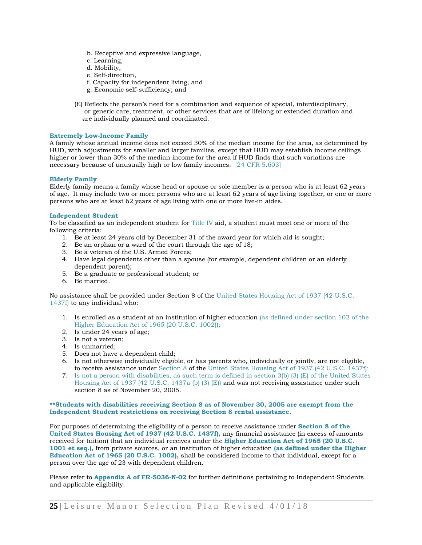- b. Receptive and expressive language,
- c. Learning,
- d. Mobility,
- e. Self-direction,
- f. Capacity for independent living, and
- g. Economic self-sufficiency; and
- (E) Reflects the person's need for a combination and sequence of special, interdisciplinary, or generic care, treatment, or other services that are of lifelong or extended duration and are individually planned and coordinated.

# **Extremely Low-Income Family**

A family whose annual income does not exceed 30% of the median income for the area, as determined by HUD, with adjustments for smaller and larger families, except that HUD may establish income ceilings higher or lower than 30% of the median income for the area if HUD finds that such variations are necessary because of unusually high or low family incomes. [24 CFR 5.603]

# **Elderly Family**

Elderly family means a family whose head or spouse or sole member is a person who is at least 62 years of age. It may include two or more persons who are at least 62 years of age living together, or one or more persons who are at least 62 years of age living with one or more live-in aides.

#### **Independent Student**

To be classified as an independent student for Title IV aid, a student must meet one or more of the following criteria:

- 1. Be at least 24 years old by December 31 of the award year for which aid is sought;
- 2. Be an orphan or a ward of the court through the age of 18;
- 3. Be a veteran of the U.S. Armed Forces;
- 4. Have legal dependents other than a spouse (for example, dependent children or an elderly dependent parent);
- 5. Be a graduate or professional student; or
- 6. Be married.

No assistance shall be provided under Section 8 of the United States Housing Act of 1937 (42 U.S.C. 1437f) to any individual who:

- 1. Is enrolled as a student at an institution of higher education (as defined under section 102 of the Higher Education Act of 1965 (20 U.S.C. 1002));
- 2. Is under 24 years of age;
- 3. Is not a veteran;
- 4. Is unmarried;
- 5. Does not have a dependent child;
- 6. Is not otherwise individually eligible, or has parents who, individually or jointly, are not eligible, to receive assistance under Section 8 of the United States Housing Act of 1937 (42 U.S.C. 1437f);
- 7. Is not a person with disabilities, as such term is defined in section 3(b) (3) (E) of the United States Housing Act of 1937 (42 U.S.C. 1437a (b) (3) (E)) and was not receiving assistance under such section 8 as of November 20, 2005.

# **\*\*Students with disabilities receiving Section 8 as of November 30, 2005 are exempt from the Independent Student restrictions on receiving Section 8 rental assistance.**

For purposes of determining the eligibility of a person to receive assistance under **Section 8 of the United States Housing Act of 1937 (42 U.S.C. 1437f),** any financial assistance (in excess of amounts received for tuition) that an individual receives under the **Higher Education Act of 1965 (20 U.S.C. 1001 et seq.),** from private sources, or an institution of higher education **(as defined under the Higher Education Act of 1965 (20 U.S.C. 1002),** shall be considered income to that individual, except for a person over the age of 23 with dependent children.

Please refer to **Appendix A of FR-5036-N-02** for further definitions pertaining to Independent Students and applicable eligibility.